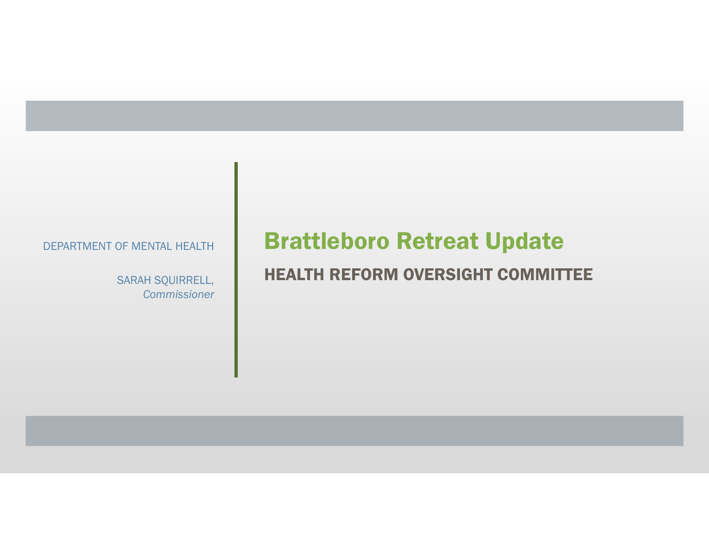SARAH SQUIRRELL, **Commissioner** 

# DEPARTMENT OF MENTAL HEALTH **Brattleboro Retreat Update**

### HEALTH REFORM OVERSIGHT COMMITTEE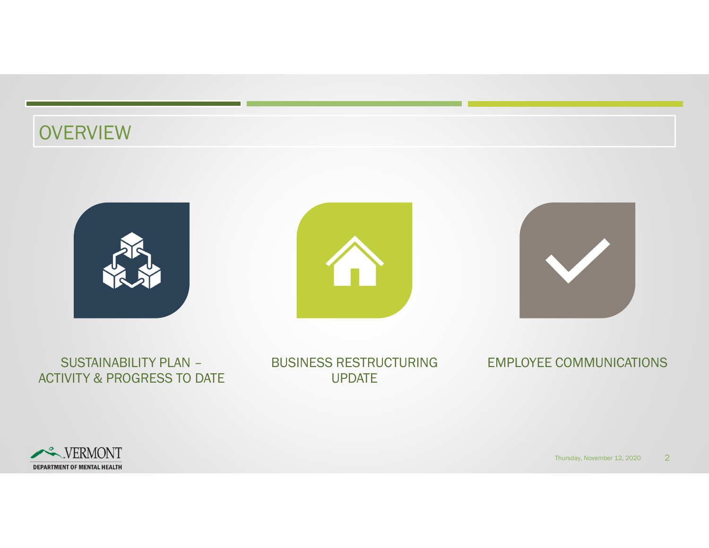# **OVERVIEW**



#### SUSTAINABILITY PLAN – ACTIVITY & PROGRESS TO DATE

BUSINESS RESTRUCTURING UPDATE

#### EMPLOYEE COMMUNICATIONS

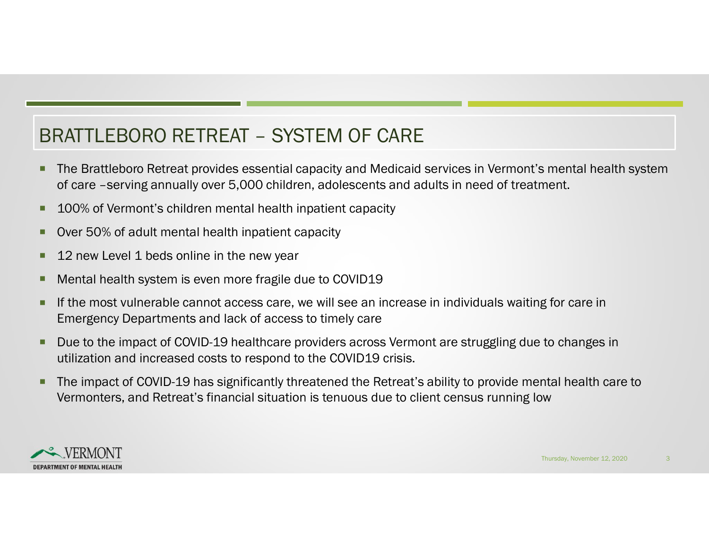- BRATTLEBORO RETREAT SYSTEM OF CARE<br>
FRATTLEBORO RETREAT SYSTEM OF CARE<br>
FRATTLEBORO Retreat provides essential capacity and Medicaid services in Vermont's ment<br>
of care –serving annually over 5,000 children, adolescent **The Brattleboro Retreat provides essential capacity and Medicaid services in Vermont's mental health system** of care –serving annually over 5,000 children, adolescents and adults in need of treatment.
- **100% of Vermont's children mental health inpatient capacity**
- **Over 50% of adult mental health inpatient capacity**
- 12 new Level 1 beds online in the new year
- **Mental health system is even more fragile due to COVID19**
- **If the most vulnerable cannot access care, we will see an increase in individuals waiting for care in** Emergency Departments and lack of access to timely care
- Due to the impact of COVID-19 healthcare providers across Vermont are struggling due to changes in utilization and increased costs to respond to the COVID19 crisis.
- The impact of COVID-19 has significantly threatened the Retreat's ability to provide mental health care to Vermonters, and Retreat's financial situation is tenuous due to client census running low Express to changes in to changes in the changes in the changes of the control of the control of the change of the change of the change of the change of the change of the change of the change of the change of the change of

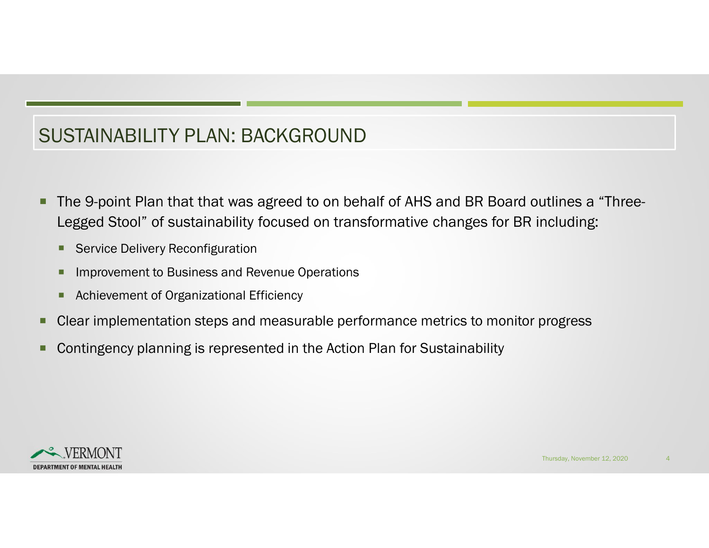## SUSTAINABILITY PLAN: BACKGROUND

- The 9-point Plan that that was agreed to on behalf of AHS and BR Board outlines a "Three-Legged Stool" of sustainability focused on transformative changes for BR including:
	- **Service Delivery Reconfiguration**
	- **Improvement to Business and Revenue Operations**
	- **Achievement of Organizational Efficiency**
- Clear implementation steps and measurable performance metrics to monitor progress Thursday, November 12, 2020<br>Thursday, November 12, 2020<br>Thursday, November 12, 2020
- Contingency planning is represented in the Action Plan for Sustainability

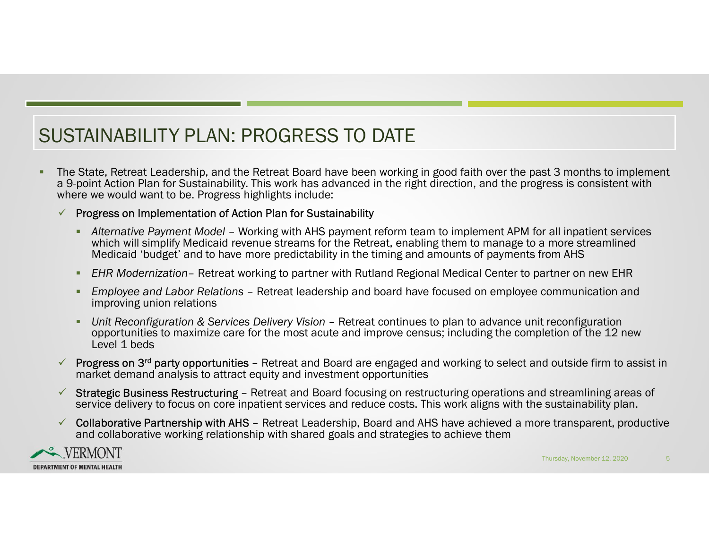## SUSTAINABILITY PLAN: PROGRESS TO DATE

 The State, Retreat Leadership, and the Retreat Board have been working in good faith over the past 3 months to implement a 9-point Action Plan for Sustainability. This work has advanced in the right direction, and the progress is consistent with where we would want to be. Progress highlights include: TAINABILITY PLAN: PROGRESS TO DATE<br>State, Retreat Leadership, and the Retreat Board have been working in good faith over the past 3 months to implement<br>point Action Plan for Sustainability. This work has advanced in the ri TAINABILITY PLAN: PROGRESS TO DATE<br>
State, Retreat Leadership, and the Retreat Board have been working in good faith over the past 3 months to implement<br>
point Action Plan for Sustainability. This work has advanced in the TAINABILITY PLAN: PROGRESS TO DATE<br>
State. Retreat Leadership, and the Retreat Board have been working in good faith over the past 3 months to implement<br>
point Action Plan for Sustainability. This work has advanced in the TAINABILITY PLAN: PROGRESS TO DATE<br>
State, Retreat Leadership, and the Retreat Board have been working in good faith over the past 3 months to implement<br>
point Action Plan for Sustainability. This work has advanced in the STAINABILITY PLAN: PROGRESS TO DATE<br>
The State, Retreat Leadership, and the Retreat Board have been working in good faith over the past 3 months to implement<br>
and 9-point Action Plan for Sustainability. This work has adv The State, Retreat Leadership, and the Retreat Board have been working in good faith over the past 3 months to implement<br>More Peopless in the Stratenbillity. This work has advanced in the right direction, and the progress

#### $\checkmark$  Progress on Implementation of Action Plan for Sustainability

- which will simplify Medicaid revenue streams for the Retreat, enabling them to manage to a more streamlined Medicaid 'budget' and to have more predictability in the timing and amounts of payments from AHS where we would want to be. Progress highlights include:<br>
Frogress on Implement and for Action Plan for Sustainability<br>
"Alternative Payment Model – Working with AHS payment reform team to implement APM for all inpatient se r all inpatient services<br>
a more streamlined<br>
rom AHS<br>
artner on new EHR<br>
communication and<br>
t reconfiguration<br>
letion of the 12 new<br>
d outside firm to assist in<br>
d streamlining areas of<br>
sustainability plan.<br>
re transpare
	-
	- improving union relations
	- opportunities to maximize care for the most acute and improve census; including the completion of the 12 new Level 1 beds
- market demand analysis to attract equity and investment opportunities
- service delivery to focus on core inpatient services and reduce costs. This work aligns with the sustainability plan.
- and collaborative working relationship with shared goals and strategies to achieve them

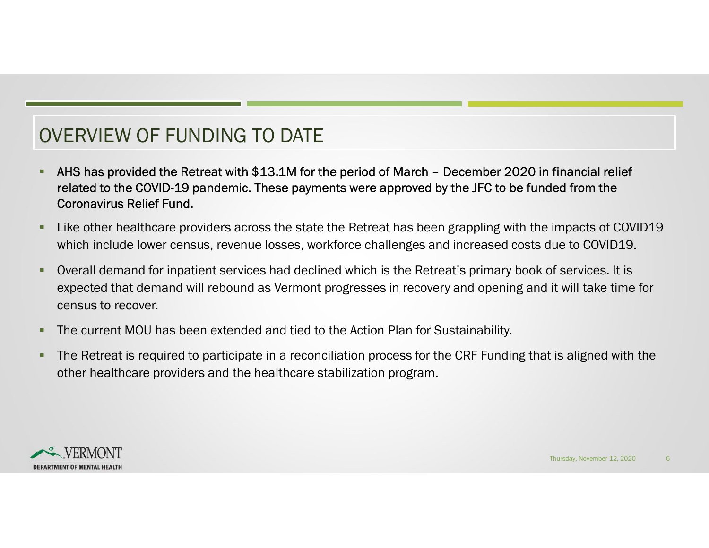# OVERVIEW OF FUNDING TO DATE

- AHS has provided the Retreat with \$13.1M for the period of March December 2020 in financial relief<br>
FRAMS has provided the Retreat with \$13.1M for the period of March December 2020 in financial relief<br>
FRAMS has provid related to the COVID-19 pandemic. These payments were approved by the JFC to be funded from the Coronavirus Relief Fund.
- Like other healthcare providers across the state the Retreat has been grappling with the impacts of COVID19 which include lower census, revenue losses, workforce challenges and increased costs due to COVID19.
- Overall demand for inpatient services had declined which is the Retreat's primary book of services. It is expected that demand will rebound as Vermont progresses in recovery and opening and it will take time for census to recover. Impacts of COVID19<br>Iue to COVID19.<br>of services. It is<br>it will take time for<br>: is aligned with the
- **The current MOU has been extended and tied to the Action Plan for Sustainability.**
- The Retreat is required to participate in a reconciliation process for the CRF Funding that is aligned with the other healthcare providers and the healthcare stabilization program.

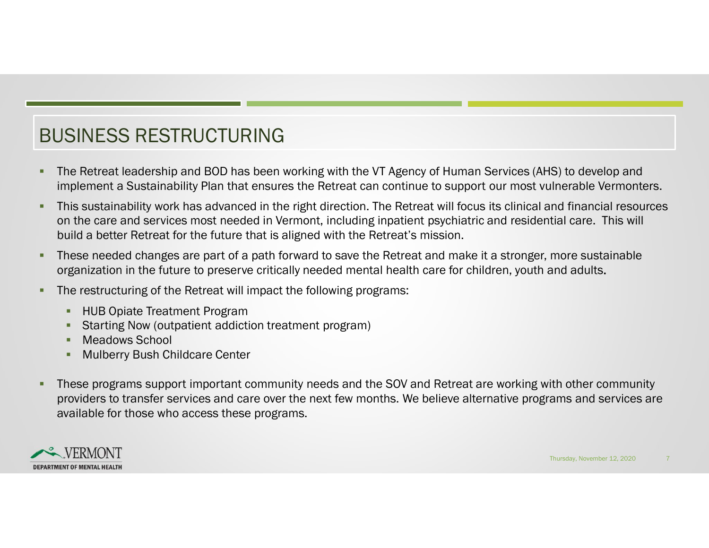# BUSINESS RESTRUCTURING

- The Retreat leadership and BOD has been working with the VT Agency of Human Services (AHS) to develop and implement a Sustainability Plan that ensures the Retreat can continue to support our most vulnerable Vermonters.
- This sustainability work has advanced in the right direction. The Retreat will focus its clinical and financial resources SINESS RESTRUCTURING<br>The Retreat leadership and BOD has been working with the VT Agency of Human Services (AHS) to develop and<br>impelment a Sustainability Plan that ensures the Retreat can continue to support our most vulne build a better Retreat for the future that is aligned with the Retreat's mission.
- These needed changes are part of a path forward to save the Retreat and make it a stronger, more sustainable organization in the future to preserve critically needed mental health care for children, youth and adults.
- The restructuring of the Retreat will impact the following programs:
	- **-** HUB Opiate Treatment Program
	- Starting Now (outpatient addiction treatment program)
	- **Meadows School**
	- Mulberry Bush Childcare Center
- These programs support important community needs and the SOV and Retreat are working with other community providers to transfer services and care over the next few months. We believe alternative programs and services are available for those who access these programs. Thursday, November 12, 2020

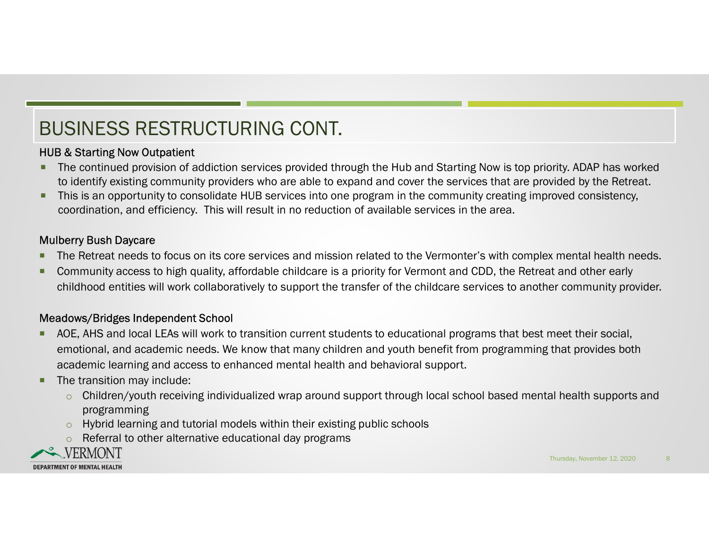# BUSINESS RESTRUCTURING CONT.

#### HUB & Starting Now Outpatient

- The continued provision of addiction services provided through the Hub and Starting Now is top priority. ADAP has worked to identify existing community providers who are able to expand and cover the services that are provided by the Retreat.
- **This is an opportunity to consolidate HUB services into one program in the community creating improved consistency,** coordination, and efficiency. This will result in no reduction of available services in the area.

#### Mulberry Bush Daycare

- **The Retreat needs to focus on its core services and mission related to the Vermonter's with complex mental health needs.**
- **Community access to high quality, affordable childcare is a priority for Vermont and CDD, the Retreat and other early** childhood entities will work collaboratively to support the transfer of the childcare services to another community provider.

#### Meadows/Bridges Independent School

- AOE, AHS and local LEAs will work to transition current students to educational programs that best meet their social, emotional, and academic needs. We know that many children and youth benefit from programming that provides both academic learning and access to enhanced mental health and behavioral support. X mental health needs.<br>
It and other early<br>
er community provider.<br>
meet their social,<br>
that provides both<br>
al health supports and<br>
Il health supports and<br>
Il mursday, November 12, 2020
- **The transition may include:** 
	- o Children/youth receiving individualized wrap around support through local school based mental health supports and programming
	- o Hybrid learning and tutorial models within their existing public schools
	- o Referral to other alternative educational day programs

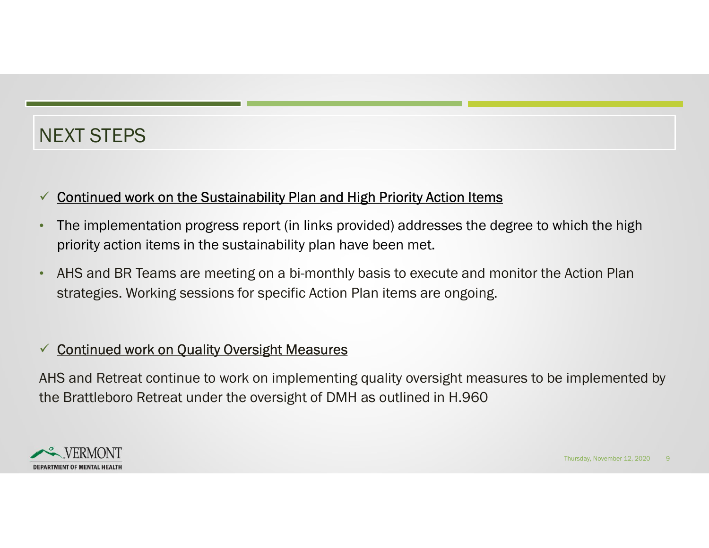# NEXT STEPS

#### $\checkmark$  Continued work on the Sustainability Plan and High Priority Action Items

- The implementation progress report (in links provided) addresses the degree to which the high priority action items in the sustainability plan have been met.
- AHS and BR Teams are meeting on a bi-monthly basis to execute and monitor the Action Plan strategies. Working sessions for specific Action Plan items are ongoing.

#### $\checkmark$  **Continued work on Quality Oversight Measures**

AHS and Retreat continue to work on implementing quality oversight measures to be implemented by the Brattleboro Retreat under the oversight of DMH as outlined in H.960 Action Plan<br>
implemented by<br>
Implemented by<br>
Intersday, November 12, 2020

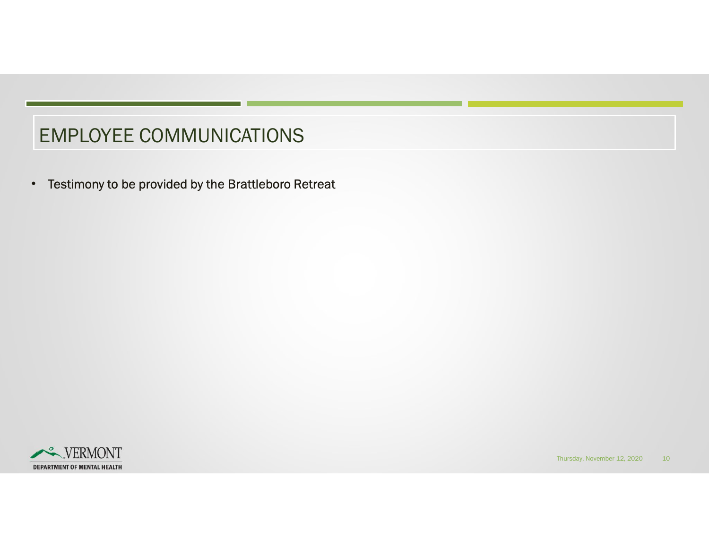### EMPLOYEE COMMUNICATIONS

• Testimony to be provided by the Brattleboro Retreat



Thursday, November 12, 2020 10